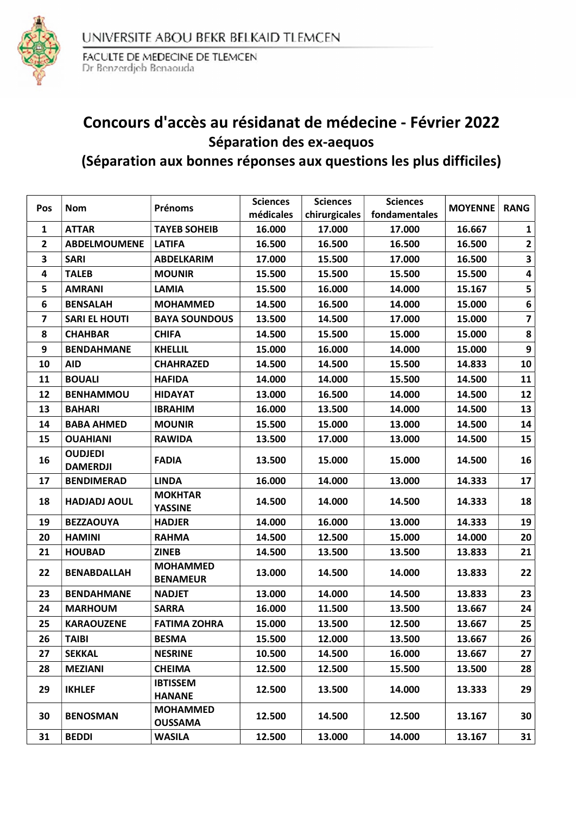

FACULTE DE MEDECINE DE TLEMCEN<br>Dr Benzerdjeb Benaouda

### Concours d'accès au résidanat de médecine - Février 2022 Séparation des ex-aequos (Séparation aux bonnes réponses aux questions les plus difficiles)

| Pos            | <b>Nom</b>                        | Prénoms                            | <b>Sciences</b><br>médicales | <b>Sciences</b><br>chirurgicales | <b>Sciences</b><br>fondamentales | <b>MOYENNE</b> | <b>RANG</b>             |
|----------------|-----------------------------------|------------------------------------|------------------------------|----------------------------------|----------------------------------|----------------|-------------------------|
| 1              | <b>ATTAR</b>                      | <b>TAYEB SOHEIB</b>                | 16.000                       | 17.000                           | 17.000                           | 16.667         | 1                       |
| $\overline{2}$ | <b>ABDELMOUMENE</b>               | <b>LATIFA</b>                      | 16.500                       | 16.500                           | 16.500                           | 16.500         | $\mathbf{2}$            |
| 3              | <b>SARI</b>                       | <b>ABDELKARIM</b>                  | 17.000                       | 15.500                           | 17.000                           | 16.500         | 3                       |
| 4              | <b>TALEB</b>                      | <b>MOUNIR</b>                      | 15.500                       | 15.500                           | 15.500                           | 15.500         | 4                       |
| 5              | <b>AMRANI</b>                     | <b>LAMIA</b>                       | 15.500                       | 16.000                           | 14.000                           | 15.167         | 5                       |
| 6              | <b>BENSALAH</b>                   | <b>MOHAMMED</b>                    | 14.500                       | 16.500                           | 14.000                           | 15.000         | $\bf 6$                 |
| 7              | <b>SARI EL HOUTI</b>              | <b>BAYA SOUNDOUS</b>               | 13.500                       | 14.500                           | 17.000                           | 15.000         | $\overline{\mathbf{z}}$ |
| 8              | <b>CHAHBAR</b>                    | <b>CHIFA</b>                       | 14.500                       | 15.500                           | 15.000                           | 15.000         | 8                       |
| 9              | <b>BENDAHMANE</b>                 | <b>KHELLIL</b>                     | 15.000                       | 16.000                           | 14.000                           | 15.000         | $\boldsymbol{9}$        |
| 10             | <b>AID</b>                        | <b>CHAHRAZED</b>                   | 14.500                       | 14.500                           | 15.500                           | 14.833         | 10                      |
| 11             | <b>BOUALI</b>                     | <b>HAFIDA</b>                      | 14.000                       | 14.000                           | 15.500                           | 14.500         | 11                      |
| 12             | <b>BENHAMMOU</b>                  | <b>HIDAYAT</b>                     | 13.000                       | 16.500                           | 14.000                           | 14.500         | 12                      |
| 13             | <b>BAHARI</b>                     | <b>IBRAHIM</b>                     | 16.000                       | 13.500                           | 14.000                           | 14.500         | 13                      |
| 14             | <b>BABA AHMED</b>                 | <b>MOUNIR</b>                      | 15.500                       | 15.000                           | 13.000                           | 14.500         | 14                      |
| 15             | <b>OUAHIANI</b>                   | <b>RAWIDA</b>                      | 13.500                       | 17.000                           | 13.000                           | 14.500         | 15                      |
| 16             | <b>OUDJEDI</b><br><b>DAMERDJI</b> | <b>FADIA</b>                       | 13.500                       | 15.000                           | 15.000                           | 14.500         | 16                      |
| 17             | <b>BENDIMERAD</b>                 | <b>LINDA</b>                       | 16.000                       | 14.000                           | 13.000                           | 14.333         | 17                      |
| 18             | <b>HADJADJ AOUL</b>               | <b>MOKHTAR</b><br><b>YASSINE</b>   | 14.500                       | 14.000                           | 14.500                           | 14.333         | 18                      |
| 19             | <b>BEZZAOUYA</b>                  | <b>HADJER</b>                      | 14.000                       | 16.000                           | 13.000                           | 14.333         | 19                      |
| 20             | <b>HAMINI</b>                     | <b>RAHMA</b>                       | 14.500                       | 12.500                           | 15.000                           | 14.000         | 20                      |
| 21             | <b>HOUBAD</b>                     | <b>ZINEB</b>                       | 14.500                       | 13.500                           | 13.500                           | 13.833         | 21                      |
| 22             | <b>BENABDALLAH</b>                | <b>MOHAMMED</b><br><b>BENAMEUR</b> | 13.000                       | 14.500                           | 14.000                           | 13.833         | 22                      |
| 23             | <b>BENDAHMANE</b>                 | <b>NADJET</b>                      | 13.000                       | 14.000                           | 14.500                           | 13.833         | 23                      |
| 24             | <b>MARHOUM</b>                    | <b>SARRA</b>                       | 16.000                       | 11.500                           | 13.500                           | 13.667         | 24                      |
| 25             | <b>KARAOUZENE</b>                 | <b>FATIMA ZOHRA</b>                | 15.000                       | 13.500                           | 12.500                           | 13.667         | 25                      |
| 26             | <b>TAIBI</b>                      | <b>BESMA</b>                       | 15.500                       | 12.000                           | 13.500                           | 13.667         | 26                      |
| 27             | <b>SEKKAL</b>                     | <b>NESRINE</b>                     | 10.500                       | 14.500                           | 16.000                           | 13.667         | 27                      |
| 28             | <b>MEZIANI</b>                    | <b>CHEIMA</b>                      | 12.500                       | 12.500                           | 15.500                           | 13.500         | 28                      |
| 29             | <b>IKHLEF</b>                     | <b>IBTISSEM</b><br><b>HANANE</b>   | 12.500                       | 13.500                           | 14.000                           | 13.333         | 29                      |
| 30             | <b>BENOSMAN</b>                   | <b>MOHAMMED</b><br><b>OUSSAMA</b>  | 12.500                       | 14.500                           | 12.500                           | 13.167         | 30                      |
| 31             | <b>BEDDI</b>                      | <b>WASILA</b>                      | 12.500                       | 13.000                           | 14.000                           | 13.167         | 31                      |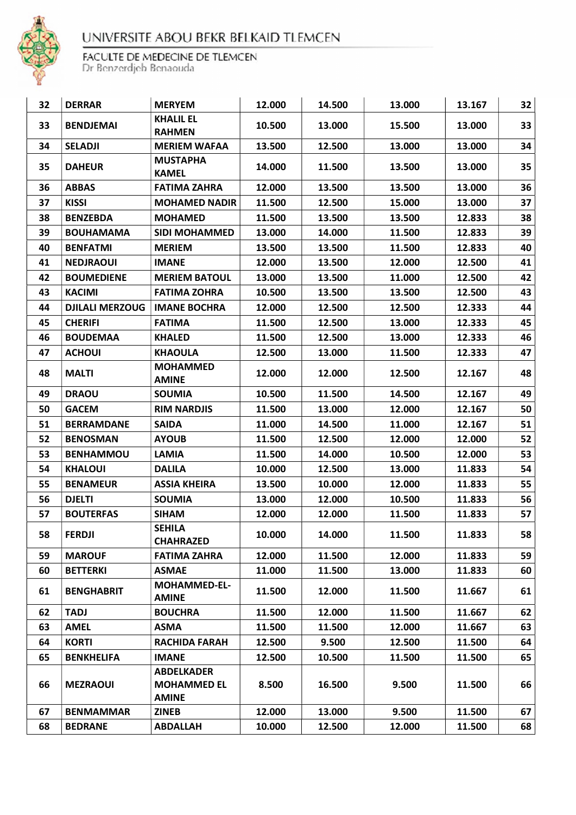

| 32 | <b>DERRAR</b>          | <b>MERYEM</b>                                           | 12.000 | 14.500 | 13.000 | 13.167 | 32 |
|----|------------------------|---------------------------------------------------------|--------|--------|--------|--------|----|
| 33 | <b>BENDJEMAI</b>       | <b>KHALIL EL</b><br><b>RAHMEN</b>                       | 10.500 | 13.000 | 15.500 | 13.000 | 33 |
| 34 | <b>SELADJI</b>         | <b>MERIEM WAFAA</b>                                     | 13.500 | 12.500 | 13.000 | 13.000 | 34 |
| 35 | <b>DAHEUR</b>          | <b>MUSTAPHA</b><br><b>KAMEL</b>                         | 14.000 | 11.500 | 13.500 | 13.000 | 35 |
| 36 | <b>ABBAS</b>           | <b>FATIMA ZAHRA</b>                                     | 12.000 | 13.500 | 13.500 | 13.000 | 36 |
| 37 | <b>KISSI</b>           | <b>MOHAMED NADIR</b>                                    | 11.500 | 12.500 | 15.000 | 13.000 | 37 |
| 38 | <b>BENZEBDA</b>        | <b>MOHAMED</b>                                          | 11.500 | 13.500 | 13.500 | 12.833 | 38 |
| 39 | <b>BOUHAMAMA</b>       | <b>SIDI MOHAMMED</b>                                    | 13.000 | 14.000 | 11.500 | 12.833 | 39 |
| 40 | <b>BENFATMI</b>        | <b>MERIEM</b>                                           | 13.500 | 13.500 | 11.500 | 12.833 | 40 |
| 41 | <b>NEDJRAOUI</b>       | <b>IMANE</b>                                            | 12.000 | 13.500 | 12.000 | 12.500 | 41 |
| 42 | <b>BOUMEDIENE</b>      | <b>MERIEM BATOUL</b>                                    | 13.000 | 13.500 | 11.000 | 12.500 | 42 |
| 43 | <b>KACIMI</b>          | <b>FATIMA ZOHRA</b>                                     | 10.500 | 13.500 | 13.500 | 12.500 | 43 |
| 44 | <b>DJILALI MERZOUG</b> | <b>IMANE BOCHRA</b>                                     | 12.000 | 12.500 | 12.500 | 12.333 | 44 |
| 45 | <b>CHERIFI</b>         | <b>FATIMA</b>                                           | 11.500 | 12.500 | 13.000 | 12.333 | 45 |
| 46 | <b>BOUDEMAA</b>        | <b>KHALED</b>                                           | 11.500 | 12.500 | 13.000 | 12.333 | 46 |
| 47 | <b>ACHOUI</b>          | <b>KHAOULA</b>                                          | 12.500 | 13.000 | 11.500 | 12.333 | 47 |
| 48 | <b>MALTI</b>           | <b>MOHAMMED</b><br><b>AMINE</b>                         | 12.000 | 12.000 | 12.500 | 12.167 | 48 |
| 49 | <b>DRAOU</b>           | <b>SOUMIA</b>                                           | 10.500 | 11.500 | 14.500 | 12.167 | 49 |
| 50 | <b>GACEM</b>           | <b>RIM NARDJIS</b>                                      | 11.500 | 13.000 | 12.000 | 12.167 | 50 |
| 51 | <b>BERRAMDANE</b>      | <b>SAIDA</b>                                            | 11.000 | 14.500 | 11.000 | 12.167 | 51 |
| 52 | <b>BENOSMAN</b>        | <b>AYOUB</b>                                            | 11.500 | 12.500 | 12.000 | 12.000 | 52 |
| 53 | <b>BENHAMMOU</b>       | <b>LAMIA</b>                                            | 11.500 | 14.000 | 10.500 | 12.000 | 53 |
| 54 | <b>KHALOUI</b>         | <b>DALILA</b>                                           | 10.000 | 12.500 | 13.000 | 11.833 | 54 |
| 55 | <b>BENAMEUR</b>        | <b>ASSIA KHEIRA</b>                                     | 13.500 | 10.000 | 12.000 | 11.833 | 55 |
| 56 | <b>DJELTI</b>          | <b>SOUMIA</b>                                           | 13.000 | 12.000 | 10.500 | 11.833 | 56 |
| 57 | <b>BOUTERFAS</b>       | <b>SIHAM</b>                                            | 12.000 | 12.000 | 11.500 | 11.833 | 57 |
| 58 | <b>FERDJI</b>          | <b>SEHILA</b><br><b>CHAHRAZED</b>                       | 10.000 | 14.000 | 11.500 | 11.833 | 58 |
| 59 | <b>MAROUF</b>          | <b>FATIMA ZAHRA</b>                                     | 12.000 | 11.500 | 12.000 | 11.833 | 59 |
| 60 | <b>BETTERKI</b>        | <b>ASMAE</b>                                            | 11.000 | 11.500 | 13.000 | 11.833 | 60 |
| 61 | <b>BENGHABRIT</b>      | <b>MOHAMMED-EL-</b><br><b>AMINE</b>                     | 11.500 | 12.000 | 11.500 | 11.667 | 61 |
| 62 | <b>TADJ</b>            | <b>BOUCHRA</b>                                          | 11.500 | 12.000 | 11.500 | 11.667 | 62 |
| 63 | <b>AMEL</b>            | ASMA                                                    | 11.500 | 11.500 | 12.000 | 11.667 | 63 |
| 64 | <b>KORTI</b>           | <b>RACHIDA FARAH</b>                                    | 12.500 | 9.500  | 12.500 | 11.500 | 64 |
| 65 | <b>BENKHELIFA</b>      | <b>IMANE</b>                                            | 12.500 | 10.500 | 11.500 | 11.500 | 65 |
| 66 | <b>MEZRAOUI</b>        | <b>ABDELKADER</b><br><b>MOHAMMED EL</b><br><b>AMINE</b> | 8.500  | 16.500 | 9.500  | 11.500 | 66 |
| 67 | <b>BENMAMMAR</b>       | <b>ZINEB</b>                                            | 12.000 | 13.000 | 9.500  | 11.500 | 67 |
| 68 | <b>BEDRANE</b>         | <b>ABDALLAH</b>                                         | 10.000 | 12.500 | 12.000 | 11.500 | 68 |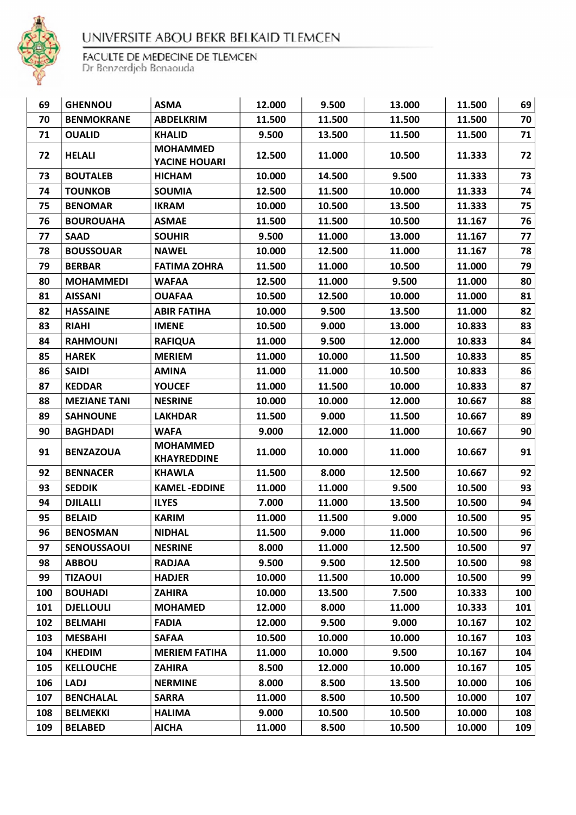

| 69  | <b>GHENNOU</b>      | <b>ASMA</b>                           | 12.000 | 9.500  | 13.000 | 11.500 | 69  |
|-----|---------------------|---------------------------------------|--------|--------|--------|--------|-----|
| 70  | <b>BENMOKRANE</b>   | <b>ABDELKRIM</b>                      | 11.500 | 11.500 | 11.500 | 11.500 | 70  |
| 71  | <b>OUALID</b>       | <b>KHALID</b>                         | 9.500  | 13.500 | 11.500 | 11.500 | 71  |
| 72  | <b>HELALI</b>       | <b>MOHAMMED</b><br>YACINE HOUARI      | 12.500 | 11.000 | 10.500 | 11.333 | 72  |
| 73  | <b>BOUTALEB</b>     | <b>HICHAM</b>                         | 10.000 | 14.500 | 9.500  | 11.333 | 73  |
| 74  | <b>TOUNKOB</b>      | <b>SOUMIA</b>                         | 12.500 | 11.500 | 10.000 | 11.333 | 74  |
| 75  | <b>BENOMAR</b>      | <b>IKRAM</b>                          | 10.000 | 10.500 | 13.500 | 11.333 | 75  |
| 76  | <b>BOUROUAHA</b>    | <b>ASMAE</b>                          | 11.500 | 11.500 | 10.500 | 11.167 | 76  |
| 77  | <b>SAAD</b>         | <b>SOUHIR</b>                         | 9.500  | 11.000 | 13.000 | 11.167 | 77  |
| 78  | <b>BOUSSOUAR</b>    | <b>NAWEL</b>                          | 10.000 | 12.500 | 11.000 | 11.167 | 78  |
| 79  | <b>BERBAR</b>       | <b>FATIMA ZOHRA</b>                   | 11.500 | 11.000 | 10.500 | 11.000 | 79  |
| 80  | <b>MOHAMMEDI</b>    | <b>WAFAA</b>                          | 12.500 | 11.000 | 9.500  | 11.000 | 80  |
| 81  | <b>AISSANI</b>      | <b>OUAFAA</b>                         | 10.500 | 12.500 | 10.000 | 11.000 | 81  |
| 82  | <b>HASSAINE</b>     | <b>ABIR FATIHA</b>                    | 10.000 | 9.500  | 13.500 | 11.000 | 82  |
| 83  | <b>RIAHI</b>        | <b>IMENE</b>                          | 10.500 | 9.000  | 13.000 | 10.833 | 83  |
| 84  | <b>RAHMOUNI</b>     | <b>RAFIQUA</b>                        | 11.000 | 9.500  | 12.000 | 10.833 | 84  |
| 85  | <b>HAREK</b>        | <b>MERIEM</b>                         | 11.000 | 10.000 | 11.500 | 10.833 | 85  |
| 86  | <b>SAIDI</b>        | <b>AMINA</b>                          | 11.000 | 11.000 | 10.500 | 10.833 | 86  |
| 87  | <b>KEDDAR</b>       | <b>YOUCEF</b>                         | 11.000 | 11.500 | 10.000 | 10.833 | 87  |
| 88  | <b>MEZIANE TANI</b> | <b>NESRINE</b>                        | 10.000 | 10.000 | 12.000 | 10.667 | 88  |
| 89  | <b>SAHNOUNE</b>     | <b>LAKHDAR</b>                        | 11.500 | 9.000  | 11.500 | 10.667 | 89  |
| 90  | <b>BAGHDADI</b>     | <b>WAFA</b>                           | 9.000  | 12.000 | 11.000 | 10.667 | 90  |
| 91  | <b>BENZAZOUA</b>    | <b>MOHAMMED</b><br><b>KHAYREDDINE</b> | 11.000 | 10.000 | 11.000 | 10.667 | 91  |
| 92  | <b>BENNACER</b>     | <b>KHAWLA</b>                         | 11.500 | 8.000  | 12.500 | 10.667 | 92  |
| 93  | <b>SEDDIK</b>       | <b>KAMEL-EDDINE</b>                   | 11.000 | 11.000 | 9.500  | 10.500 | 93  |
| 94  | <b>DJILALLI</b>     | <b>ILYES</b>                          | 7.000  | 11.000 | 13.500 | 10.500 | 94  |
| 95  | <b>BELAID</b>       | <b>KARIM</b>                          | 11.000 | 11.500 | 9.000  | 10.500 | 95  |
| 96  | <b>BENOSMAN</b>     | <b>NIDHAL</b>                         | 11.500 | 9.000  | 11.000 | 10.500 | 96  |
| 97  | <b>SENOUSSAOUI</b>  | <b>NESRINE</b>                        | 8.000  | 11.000 | 12.500 | 10.500 | 97  |
| 98  | <b>ABBOU</b>        | <b>RADJAA</b>                         | 9.500  | 9.500  | 12.500 | 10.500 | 98  |
| 99  | <b>TIZAOUI</b>      | <b>HADJER</b>                         | 10.000 | 11.500 | 10.000 | 10.500 | 99  |
| 100 | <b>BOUHADI</b>      | <b>ZAHIRA</b>                         | 10.000 | 13.500 | 7.500  | 10.333 | 100 |
| 101 | <b>DJELLOULI</b>    | <b>MOHAMED</b>                        | 12.000 | 8.000  | 11.000 | 10.333 | 101 |
| 102 | <b>BELMAHI</b>      | <b>FADIA</b>                          | 12.000 | 9.500  | 9.000  | 10.167 | 102 |
| 103 | <b>MESBAHI</b>      | <b>SAFAA</b>                          | 10.500 | 10.000 | 10.000 | 10.167 | 103 |
| 104 | <b>KHEDIM</b>       | <b>MERIEM FATIHA</b>                  | 11.000 | 10.000 | 9.500  | 10.167 | 104 |
| 105 | <b>KELLOUCHE</b>    | <b>ZAHIRA</b>                         | 8.500  | 12.000 | 10.000 | 10.167 | 105 |
| 106 | <b>LADJ</b>         | <b>NERMINE</b>                        | 8.000  | 8.500  | 13.500 | 10.000 | 106 |
| 107 | <b>BENCHALAL</b>    | <b>SARRA</b>                          | 11.000 | 8.500  | 10.500 | 10.000 | 107 |
| 108 | <b>BELMEKKI</b>     | <b>HALIMA</b>                         | 9.000  | 10.500 | 10.500 | 10.000 | 108 |
| 109 | <b>BELABED</b>      | <b>AICHA</b>                          | 11.000 | 8.500  | 10.500 | 10.000 | 109 |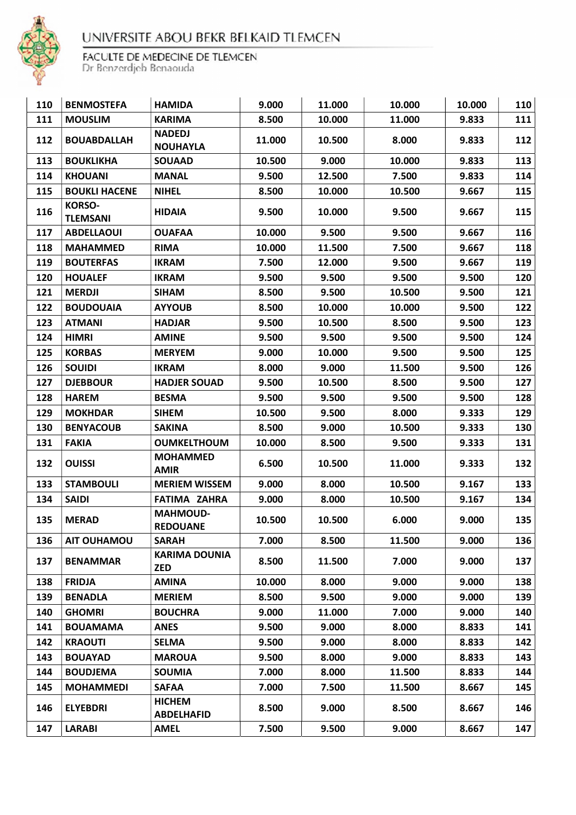

| 110 | <b>BENMOSTEFA</b>                | <b>HAMIDA</b>                      | 9.000  | 11.000 | 10.000 | 10.000 | 110 |
|-----|----------------------------------|------------------------------------|--------|--------|--------|--------|-----|
| 111 | <b>MOUSLIM</b>                   | <b>KARIMA</b>                      | 8.500  | 10.000 | 11.000 | 9.833  | 111 |
| 112 | <b>BOUABDALLAH</b>               | <b>NADEDJ</b><br><b>NOUHAYLA</b>   | 11.000 | 10.500 | 8.000  | 9.833  | 112 |
| 113 | <b>BOUKLIKHA</b>                 | <b>SOUAAD</b>                      | 10.500 | 9.000  | 10.000 | 9.833  | 113 |
| 114 | <b>KHOUANI</b>                   | <b>MANAL</b>                       | 9.500  | 12.500 | 7.500  | 9.833  | 114 |
| 115 | <b>BOUKLI HACENE</b>             | <b>NIHEL</b>                       | 8.500  | 10.000 | 10.500 | 9.667  | 115 |
| 116 | <b>KORSO-</b><br><b>TLEMSANI</b> | <b>HIDAIA</b>                      | 9.500  | 10.000 | 9.500  | 9.667  | 115 |
| 117 | <b>ABDELLAOUI</b>                | <b>OUAFAA</b>                      | 10.000 | 9.500  | 9.500  | 9.667  | 116 |
| 118 | <b>MAHAMMED</b>                  | <b>RIMA</b>                        | 10.000 | 11.500 | 7.500  | 9.667  | 118 |
| 119 | <b>BOUTERFAS</b>                 | <b>IKRAM</b>                       | 7.500  | 12.000 | 9.500  | 9.667  | 119 |
| 120 | <b>HOUALEF</b>                   | <b>IKRAM</b>                       | 9.500  | 9.500  | 9.500  | 9.500  | 120 |
| 121 | <b>MERDJI</b>                    | <b>SIHAM</b>                       | 8.500  | 9.500  | 10.500 | 9.500  | 121 |
| 122 | <b>BOUDOUAIA</b>                 | <b>AYYOUB</b>                      | 8.500  | 10.000 | 10.000 | 9.500  | 122 |
| 123 | <b>ATMANI</b>                    | <b>HADJAR</b>                      | 9.500  | 10.500 | 8.500  | 9.500  | 123 |
| 124 | <b>HIMRI</b>                     | <b>AMINE</b>                       | 9.500  | 9.500  | 9.500  | 9.500  | 124 |
| 125 | <b>KORBAS</b>                    | <b>MERYEM</b>                      | 9.000  | 10.000 | 9.500  | 9.500  | 125 |
| 126 | <b>SOUIDI</b>                    | <b>IKRAM</b>                       | 8.000  | 9.000  | 11.500 | 9.500  | 126 |
| 127 | <b>DJEBBOUR</b>                  | <b>HADJER SOUAD</b>                | 9.500  | 10.500 | 8.500  | 9.500  | 127 |
| 128 | <b>HAREM</b>                     | <b>BESMA</b>                       | 9.500  | 9.500  | 9.500  | 9.500  | 128 |
| 129 | <b>MOKHDAR</b>                   | <b>SIHEM</b>                       | 10.500 | 9.500  | 8.000  | 9.333  | 129 |
| 130 | <b>BENYACOUB</b>                 | <b>SAKINA</b>                      | 8.500  | 9.000  | 10.500 | 9.333  | 130 |
| 131 | <b>FAKIA</b>                     | <b>OUMKELTHOUM</b>                 | 10.000 | 8.500  | 9.500  | 9.333  | 131 |
| 132 | <b>OUISSI</b>                    | <b>MOHAMMED</b><br><b>AMIR</b>     | 6.500  | 10.500 | 11.000 | 9.333  | 132 |
| 133 | <b>STAMBOULI</b>                 | <b>MERIEM WISSEM</b>               | 9.000  | 8.000  | 10.500 | 9.167  | 133 |
| 134 | <b>SAIDI</b>                     | <b>FATIMA ZAHRA</b>                | 9.000  | 8.000  | 10.500 | 9.167  | 134 |
| 135 | <b>MERAD</b>                     | <b>MAHMOUD-</b><br><b>REDOUANE</b> | 10.500 | 10.500 | 6.000  | 9.000  | 135 |
| 136 | <b>AIT OUHAMOU</b>               | <b>SARAH</b>                       | 7.000  | 8.500  | 11.500 | 9.000  | 136 |
| 137 | <b>BENAMMAR</b>                  | <b>KARIMA DOUNIA</b><br><b>ZED</b> | 8.500  | 11.500 | 7.000  | 9.000  | 137 |
| 138 | <b>FRIDJA</b>                    | <b>AMINA</b>                       | 10.000 | 8.000  | 9.000  | 9.000  | 138 |
| 139 | <b>BENADLA</b>                   | <b>MERIEM</b>                      | 8.500  | 9.500  | 9.000  | 9.000  | 139 |
| 140 | <b>GHOMRI</b>                    | <b>BOUCHRA</b>                     | 9.000  | 11.000 | 7.000  | 9.000  | 140 |
| 141 | <b>BOUAMAMA</b>                  | <b>ANES</b>                        | 9.500  | 9.000  | 8.000  | 8.833  | 141 |
| 142 | <b>KRAOUTI</b>                   | <b>SELMA</b>                       | 9.500  | 9.000  | 8.000  | 8.833  | 142 |
| 143 | <b>BOUAYAD</b>                   | <b>MAROUA</b>                      | 9.500  | 8.000  | 9.000  | 8.833  | 143 |
| 144 | <b>BOUDJEMA</b>                  | <b>SOUMIA</b>                      | 7.000  | 8.000  | 11.500 | 8.833  | 144 |
| 145 | <b>MOHAMMEDI</b>                 | <b>SAFAA</b>                       | 7.000  | 7.500  | 11.500 | 8.667  | 145 |
| 146 | <b>ELYEBDRI</b>                  | <b>HICHEM</b><br><b>ABDELHAFID</b> | 8.500  | 9.000  | 8.500  | 8.667  | 146 |
| 147 | <b>LARABI</b>                    | <b>AMEL</b>                        | 7.500  | 9.500  | 9.000  | 8.667  | 147 |
|     |                                  |                                    |        |        |        |        |     |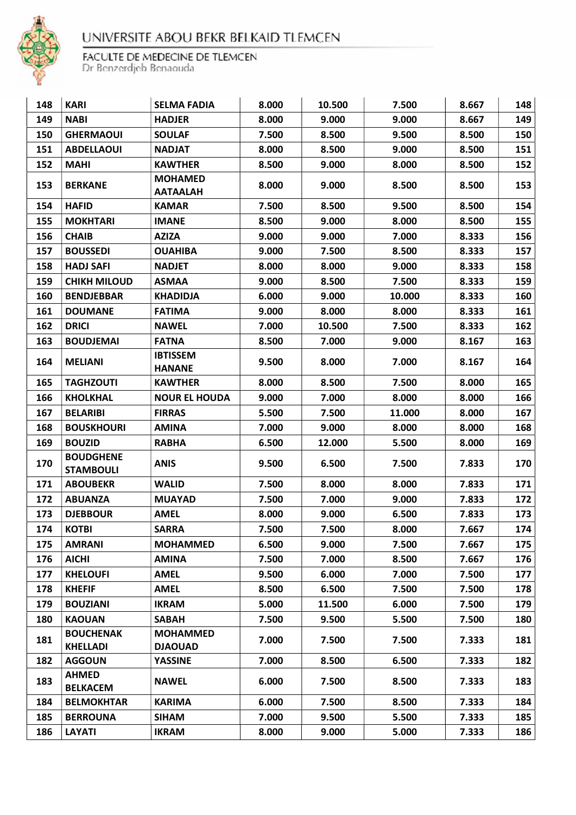

| 148 | <b>KARI</b>                          | <b>SELMA FADIA</b>                | 8.000 | 10.500 | 7.500  | 8.667 | 148 |
|-----|--------------------------------------|-----------------------------------|-------|--------|--------|-------|-----|
| 149 | <b>NABI</b>                          | <b>HADJER</b>                     | 8.000 | 9.000  | 9.000  | 8.667 | 149 |
| 150 | <b>GHERMAOUI</b>                     | <b>SOULAF</b>                     | 7.500 | 8.500  | 9.500  | 8.500 | 150 |
| 151 | <b>ABDELLAOUI</b>                    | <b>NADJAT</b>                     | 8.000 | 8.500  | 9.000  | 8.500 | 151 |
| 152 | <b>MAHI</b>                          | <b>KAWTHER</b>                    | 8.500 | 9.000  | 8.000  | 8.500 | 152 |
| 153 | <b>BERKANE</b>                       | <b>MOHAMED</b><br><b>AATAALAH</b> | 8.000 | 9.000  | 8.500  | 8.500 | 153 |
| 154 | <b>HAFID</b>                         | <b>KAMAR</b>                      | 7.500 | 8.500  | 9.500  | 8.500 | 154 |
| 155 | <b>MOKHTARI</b>                      | <b>IMANE</b>                      | 8.500 | 9.000  | 8.000  | 8.500 | 155 |
| 156 | <b>CHAIB</b>                         | <b>AZIZA</b>                      | 9.000 | 9.000  | 7.000  | 8.333 | 156 |
| 157 | <b>BOUSSEDI</b>                      | <b>OUAHIBA</b>                    | 9.000 | 7.500  | 8.500  | 8.333 | 157 |
| 158 | <b>HADJ SAFI</b>                     | <b>NADJET</b>                     | 8.000 | 8.000  | 9.000  | 8.333 | 158 |
| 159 | <b>CHIKH MILOUD</b>                  | <b>ASMAA</b>                      | 9.000 | 8.500  | 7.500  | 8.333 | 159 |
| 160 | <b>BENDJEBBAR</b>                    | <b>KHADIDJA</b>                   | 6.000 | 9.000  | 10.000 | 8.333 | 160 |
| 161 | <b>DOUMANE</b>                       | <b>FATIMA</b>                     | 9.000 | 8.000  | 8.000  | 8.333 | 161 |
| 162 | <b>DRICI</b>                         | <b>NAWEL</b>                      | 7.000 | 10.500 | 7.500  | 8.333 | 162 |
| 163 | <b>BOUDJEMAI</b>                     | <b>FATNA</b>                      | 8.500 | 7.000  | 9.000  | 8.167 | 163 |
| 164 | <b>MELIANI</b>                       | <b>IBTISSEM</b><br><b>HANANE</b>  | 9.500 | 8.000  | 7.000  | 8.167 | 164 |
| 165 | <b>TAGHZOUTI</b>                     | <b>KAWTHER</b>                    | 8.000 | 8.500  | 7.500  | 8.000 | 165 |
| 166 | <b>KHOLKHAL</b>                      | <b>NOUR EL HOUDA</b>              | 9.000 | 7.000  | 8.000  | 8.000 | 166 |
| 167 | <b>BELARIBI</b>                      | <b>FIRRAS</b>                     | 5.500 | 7.500  | 11.000 | 8.000 | 167 |
| 168 | <b>BOUSKHOURI</b>                    | <b>AMINA</b>                      | 7.000 | 9.000  | 8.000  | 8.000 | 168 |
| 169 | <b>BOUZID</b>                        | <b>RABHA</b>                      | 6.500 | 12.000 | 5.500  | 8.000 | 169 |
| 170 | <b>BOUDGHENE</b><br><b>STAMBOULI</b> | <b>ANIS</b>                       | 9.500 | 6.500  | 7.500  | 7.833 | 170 |
| 171 | <b>ABOUBEKR</b>                      | <b>WALID</b>                      | 7.500 | 8.000  | 8.000  | 7.833 | 171 |
| 172 | <b>ABUANZA</b>                       | <b>MUAYAD</b>                     | 7.500 | 7.000  | 9.000  | 7.833 | 172 |
| 173 | <b>DJEBBOUR</b>                      | <b>AMEL</b>                       | 8.000 | 9.000  | 6.500  | 7.833 | 173 |
| 174 | <b>KOTBI</b>                         | <b>SARRA</b>                      | 7.500 | 7.500  | 8.000  | 7.667 | 174 |
| 175 | <b>AMRANI</b>                        | <b>MOHAMMED</b>                   | 6.500 | 9.000  | 7.500  | 7.667 | 175 |
| 176 | <b>AICHI</b>                         | <b>AMINA</b>                      | 7.500 | 7.000  | 8.500  | 7.667 | 176 |
| 177 | <b>KHELOUFI</b>                      | <b>AMEL</b>                       | 9.500 | 6.000  | 7.000  | 7.500 | 177 |
| 178 | <b>KHEFIF</b>                        | <b>AMEL</b>                       | 8.500 | 6.500  | 7.500  | 7.500 | 178 |
| 179 | <b>BOUZIANI</b>                      | <b>IKRAM</b>                      | 5.000 | 11.500 | 6.000  | 7.500 | 179 |
| 180 | <b>KAOUAN</b>                        | <b>SABAH</b>                      | 7.500 | 9.500  | 5.500  | 7.500 | 180 |
| 181 | <b>BOUCHENAK</b><br><b>KHELLADI</b>  | <b>MOHAMMED</b><br><b>DJAOUAD</b> | 7.000 | 7.500  | 7.500  | 7.333 | 181 |
| 182 | <b>AGGOUN</b>                        | <b>YASSINE</b>                    | 7.000 | 8.500  | 6.500  | 7.333 | 182 |
| 183 | <b>AHMED</b><br><b>BELKACEM</b>      | <b>NAWEL</b>                      | 6.000 | 7.500  | 8.500  | 7.333 | 183 |
| 184 | <b>BELMOKHTAR</b>                    | <b>KARIMA</b>                     | 6.000 | 7.500  | 8.500  | 7.333 | 184 |
| 185 | <b>BERROUNA</b>                      | <b>SIHAM</b>                      | 7.000 | 9.500  | 5.500  | 7.333 | 185 |
| 186 | <b>LAYATI</b>                        | <b>IKRAM</b>                      | 8.000 | 9.000  | 5.000  | 7.333 | 186 |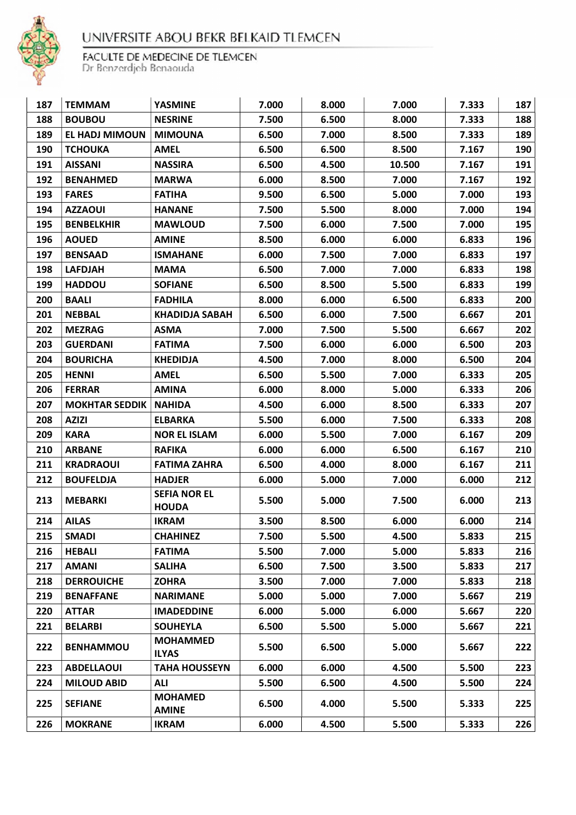

| 187 | <b>TEMMAM</b>         | <b>YASMINE</b>                      | 7.000 | 8.000 | 7.000  | 7.333 | 187 |
|-----|-----------------------|-------------------------------------|-------|-------|--------|-------|-----|
| 188 | <b>BOUBOU</b>         | <b>NESRINE</b>                      | 7.500 | 6.500 | 8.000  | 7.333 | 188 |
| 189 | EL HADJ MIMOUN        | <b>MIMOUNA</b>                      | 6.500 | 7.000 | 8.500  | 7.333 | 189 |
| 190 | <b>TCHOUKA</b>        | <b>AMEL</b>                         | 6.500 | 6.500 | 8.500  | 7.167 | 190 |
| 191 | <b>AISSANI</b>        | <b>NASSIRA</b>                      | 6.500 | 4.500 | 10.500 | 7.167 | 191 |
| 192 | <b>BENAHMED</b>       | <b>MARWA</b>                        | 6.000 | 8.500 | 7.000  | 7.167 | 192 |
| 193 | <b>FARES</b>          | <b>FATIHA</b>                       | 9.500 | 6.500 | 5.000  | 7.000 | 193 |
| 194 | <b>AZZAOUI</b>        | <b>HANANE</b>                       | 7.500 | 5.500 | 8.000  | 7.000 | 194 |
| 195 | <b>BENBELKHIR</b>     | <b>MAWLOUD</b>                      | 7.500 | 6.000 | 7.500  | 7.000 | 195 |
| 196 | <b>AOUED</b>          | <b>AMINE</b>                        | 8.500 | 6.000 | 6.000  | 6.833 | 196 |
| 197 | <b>BENSAAD</b>        | <b>ISMAHANE</b>                     | 6.000 | 7.500 | 7.000  | 6.833 | 197 |
| 198 | <b>LAFDJAH</b>        | <b>MAMA</b>                         | 6.500 | 7.000 | 7.000  | 6.833 | 198 |
| 199 | <b>HADDOU</b>         | <b>SOFIANE</b>                      | 6.500 | 8.500 | 5.500  | 6.833 | 199 |
| 200 | <b>BAALI</b>          | <b>FADHILA</b>                      | 8.000 | 6.000 | 6.500  | 6.833 | 200 |
| 201 | <b>NEBBAL</b>         | <b>KHADIDJA SABAH</b>               | 6.500 | 6.000 | 7.500  | 6.667 | 201 |
| 202 | <b>MEZRAG</b>         | <b>ASMA</b>                         | 7.000 | 7.500 | 5.500  | 6.667 | 202 |
| 203 | <b>GUERDANI</b>       | <b>FATIMA</b>                       | 7.500 | 6.000 | 6.000  | 6.500 | 203 |
| 204 | <b>BOURICHA</b>       | <b>KHEDIDJA</b>                     | 4.500 | 7.000 | 8.000  | 6.500 | 204 |
| 205 | <b>HENNI</b>          | <b>AMEL</b>                         | 6.500 | 5.500 | 7.000  | 6.333 | 205 |
| 206 | <b>FERRAR</b>         | <b>AMINA</b>                        | 6.000 | 8.000 | 5.000  | 6.333 | 206 |
| 207 | <b>MOKHTAR SEDDIK</b> | <b>NAHIDA</b>                       | 4.500 | 6.000 | 8.500  | 6.333 | 207 |
| 208 | <b>AZIZI</b>          | <b>ELBARKA</b>                      | 5.500 | 6.000 | 7.500  | 6.333 | 208 |
| 209 | <b>KARA</b>           | <b>NOR EL ISLAM</b>                 | 6.000 | 5.500 | 7.000  | 6.167 | 209 |
| 210 | <b>ARBANE</b>         | <b>RAFIKA</b>                       | 6.000 | 6.000 | 6.500  | 6.167 | 210 |
| 211 | <b>KRADRAOUI</b>      | <b>FATIMA ZAHRA</b>                 | 6.500 | 4.000 | 8.000  | 6.167 | 211 |
| 212 | <b>BOUFELDJA</b>      | <b>HADJER</b>                       | 6.000 | 5.000 | 7.000  | 6.000 | 212 |
| 213 | <b>MEBARKI</b>        | <b>SEFIA NOR EL</b><br><b>HOUDA</b> | 5.500 | 5.000 | 7.500  | 6.000 | 213 |
| 214 | <b>AILAS</b>          | <b>IKRAM</b>                        | 3.500 | 8.500 | 6.000  | 6.000 | 214 |
| 215 | <b>SMADI</b>          | <b>CHAHINEZ</b>                     | 7.500 | 5.500 | 4.500  | 5.833 | 215 |
| 216 | <b>HEBALI</b>         | <b>FATIMA</b>                       | 5.500 | 7.000 | 5.000  | 5.833 | 216 |
| 217 | <b>AMANI</b>          | <b>SALIHA</b>                       | 6.500 | 7.500 | 3.500  | 5.833 | 217 |
| 218 | <b>DERROUICHE</b>     | <b>ZOHRA</b>                        | 3.500 | 7.000 | 7.000  | 5.833 | 218 |
| 219 | <b>BENAFFANE</b>      | <b>NARIMANE</b>                     | 5.000 | 5.000 | 7.000  | 5.667 | 219 |
| 220 | <b>ATTAR</b>          | <b>IMADEDDINE</b>                   | 6.000 | 5.000 | 6.000  | 5.667 | 220 |
| 221 | <b>BELARBI</b>        | <b>SOUHEYLA</b>                     | 6.500 | 5.500 | 5.000  | 5.667 | 221 |
| 222 | <b>BENHAMMOU</b>      | <b>MOHAMMED</b><br><b>ILYAS</b>     | 5.500 | 6.500 | 5.000  | 5.667 | 222 |
| 223 | <b>ABDELLAOUI</b>     | <b>TAHA HOUSSEYN</b>                | 6.000 | 6.000 | 4.500  | 5.500 | 223 |
| 224 | <b>MILOUD ABID</b>    | ALI                                 | 5.500 | 6.500 | 4.500  | 5.500 | 224 |
| 225 | <b>SEFIANE</b>        | <b>MOHAMED</b><br><b>AMINE</b>      | 6.500 | 4.000 | 5.500  | 5.333 | 225 |
| 226 | <b>MOKRANE</b>        | <b>IKRAM</b>                        | 6.000 | 4.500 | 5.500  | 5.333 | 226 |